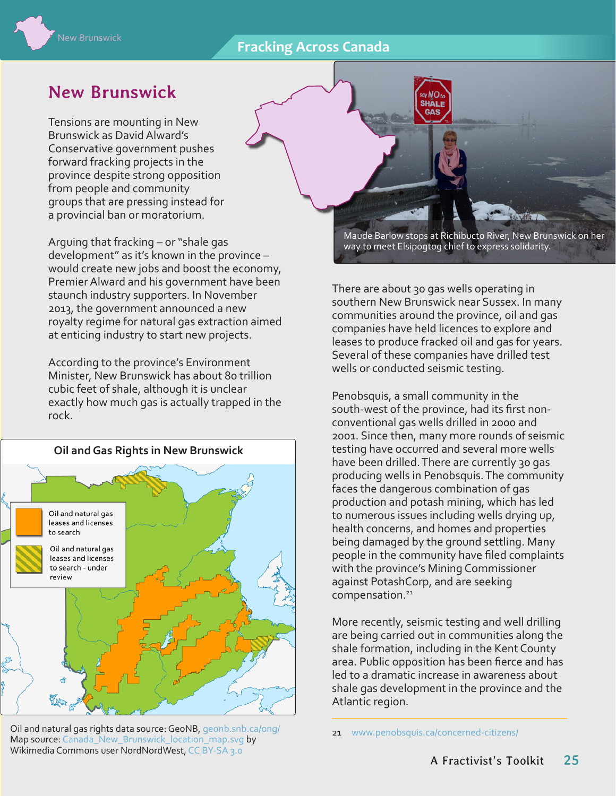## **Fracking Across Canada**



# **New Brunswick**

Tensions are mounting in New Brunswick as David Alward's Conservative government pushes forward fracking projects in the province despite strong opposition from people and community groups that are pressing instead for a provincial ban or moratorium.

Arguing that fracking – or "shale gas development" as it's known in the province – would create new jobs and boost the economy, Premier Alward and his government have been staunch industry supporters. In November 2013, the government announced a new royalty regime for natural gas extraction aimed at enticing industry to start new projects.

According to the province's Environment Minister, New Brunswick has about 80 trillion cubic feet of shale, although it is unclear exactly how much gas is actually trapped in the rock.



Oil and natural gas rights data source: GeoNB, geonb.snb.ca/ong/ 21 [www.penobsquis.ca/concerned-citizens/](http://www.penobsquis.ca/concerned-citizens/) Map source: [Canada\\_New\\_Brunswick\\_location\\_map.svg](http://commons.wikimedia.org/wiki/File:Canada_New_Brunswick_location_map.svg) by Wikimedia Commons user NordNordWest, [CC BY-SA 3.0](http://creativecommons.org/licenses/by-sa/3.0/deed.en)

Maude Barlow stops at Richibucto River, New Brunswick on her way to meet Elsipogtog chief to express solidarity.

There are about 30 gas wells operating in southern New Brunswick near Sussex. In many communities around the province, oil and gas companies have held licences to explore and leases to produce fracked oil and gas for years. Several of these companies have drilled test wells or conducted seismic testing.

**GAS** 

Penobsquis, a small community in the south-west of the province, had its first nonconventional gas wells drilled in 2000 and 2001. Since then, many more rounds of seismic testing have occurred and several more wells have been drilled. There are currently 30 gas producing wells in Penobsquis. The community faces the dangerous combination of gas production and potash mining, which has led to numerous issues including wells drying up, health concerns, and homes and properties being damaged by the ground settling. Many people in the community have filed complaints with the province's Mining Commissioner against PotashCorp, and are seeking compensation.<sup>21</sup>

More recently, seismic testing and well drilling are being carried out in communities along the shale formation, including in the Kent County area. Public opposition has been fierce and has led to a dramatic increase in awareness about shale gas development in the province and the Atlantic region.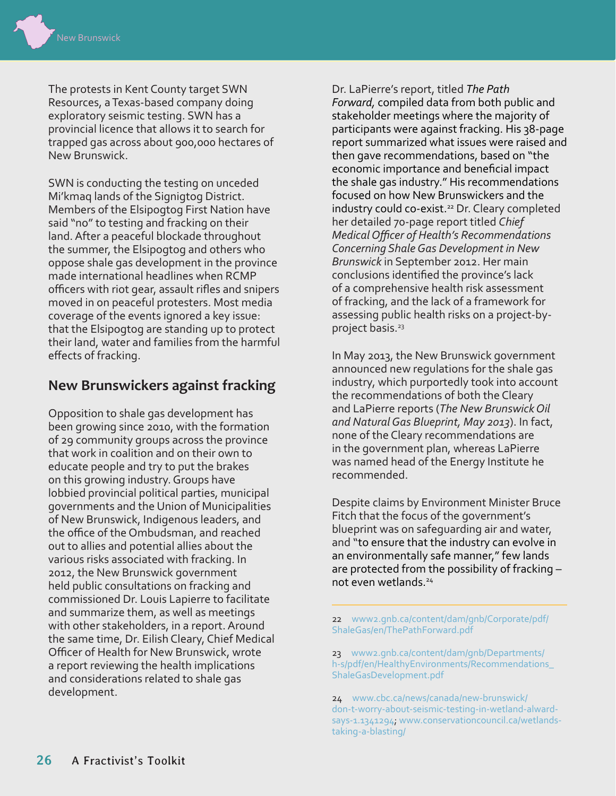The protests in Kent County target SWN Resources, a Texas-based company doing exploratory seismic testing. SWN has a provincial licence that allows it to search for trapped gas across about 900,000 hectares of New Brunswick.

SWN is conducting the testing on unceded Mi'kmaq lands of the Signigtog District. Members of the Elsipogtog First Nation have said "no" to testing and fracking on their land. After a peaceful blockade throughout the summer, the Elsipogtog and others who oppose shale gas development in the province made international headlines when RCMP officers with riot gear, assault rifles and snipers moved in on peaceful protesters. Most media coverage of the events ignored a key issue: that the Elsipogtog are standing up to protect their land, water and families from the harmful effects of fracking.

## **New Brunswickers against fracking**

Opposition to shale gas development has been growing since 2010, with the formation of 29 community groups across the province that work in coalition and on their own to educate people and try to put the brakes on this growing industry. Groups have lobbied provincial political parties, municipal governments and the Union of Municipalities of New Brunswick, Indigenous leaders, and the office of the Ombudsman, and reached out to allies and potential allies about the various risks associated with fracking. In 2012, the New Brunswick government held public consultations on fracking and commissioned Dr. Louis Lapierre to facilitate and summarize them, as well as meetings with other stakeholders, in a report. Around the same time, Dr. Eilish Cleary, Chief Medical Officer of Health for New Brunswick, wrote a report reviewing the health implications and considerations related to shale gas development.

Dr. LaPierre's report, titled *The Path Forward,* compiled data from both public and stakeholder meetings where the majority of participants were against fracking. His 38-page report summarized what issues were raised and then gave recommendations, based on "the economic importance and beneficial impact the shale gas industry." His recommendations focused on how New Brunswickers and the industry could co-exist.<sup>22</sup> Dr. Cleary completed her detailed 70-page report titled *Chief Medical Officer of Health's Recommendations Concerning Shale Gas Development in New Brunswick* in September 2012. Her main conclusions identified the province's lack of a comprehensive health risk assessment of fracking, and the lack of a framework for assessing public health risks on a project-byproject basis.<sup>23</sup>

In May 2013, the New Brunswick government announced new regulations for the shale gas industry, which purportedly took into account the recommendations of both the Cleary and LaPierre reports (*The New Brunswick Oil and Natural Gas Blueprint, May 2013*). In fact, none of the Cleary recommendations are in the government plan, whereas LaPierre was named head of the Energy Institute he recommended.

Despite claims by Environment Minister Bruce Fitch that the focus of the government's blueprint was on safeguarding air and water, and "to ensure that the industry can evolve in an environmentally safe manner," few lands are protected from the possibility of fracking – not even wetlands.24

22 [www2.gnb.ca/content/dam/gnb/Corporate/pdf/](http://www2.gnb.ca/content/dam/gnb/Corporate/pdf/ShaleGas/en/ThePathForward.pdf) [ShaleGas/en/ThePathForward.pdf](http://www2.gnb.ca/content/dam/gnb/Corporate/pdf/ShaleGas/en/ThePathForward.pdf)

23 [www2.gnb.ca/content/dam/gnb/Departments/](http://www2.gnb.ca/content/dam/gnb/Departments/h-s/pdf/en/HealthyEnvironments/Recommendations_ShaleGasDevelopment.pdf) [h-s/pdf/en/HealthyEnvironments/Recommendations\\_](http://www2.gnb.ca/content/dam/gnb/Departments/h-s/pdf/en/HealthyEnvironments/Recommendations_ShaleGasDevelopment.pdf) [ShaleGasDevelopment.pdf](http://www2.gnb.ca/content/dam/gnb/Departments/h-s/pdf/en/HealthyEnvironments/Recommendations_ShaleGasDevelopment.pdf)

24 [www.cbc.ca/news/canada/new-brunswick/](http://www.cbc.ca/news/canada/new-brunswick/don-t-worry-about-seismic-testing-in-wetland-alward-says-1.1341294) [don-t-worry-about-seismic-testing-in-wetland-alward](http://www.cbc.ca/news/canada/new-brunswick/don-t-worry-about-seismic-testing-in-wetland-alward-says-1.1341294)[says-1.1341294](http://www.cbc.ca/news/canada/new-brunswick/don-t-worry-about-seismic-testing-in-wetland-alward-says-1.1341294); [www.conservationcouncil.ca/wetlands](http://www.conservationcouncil.ca/wetlands-taking-a-blasting/)[taking-a-blasting/](http://www.conservationcouncil.ca/wetlands-taking-a-blasting/)